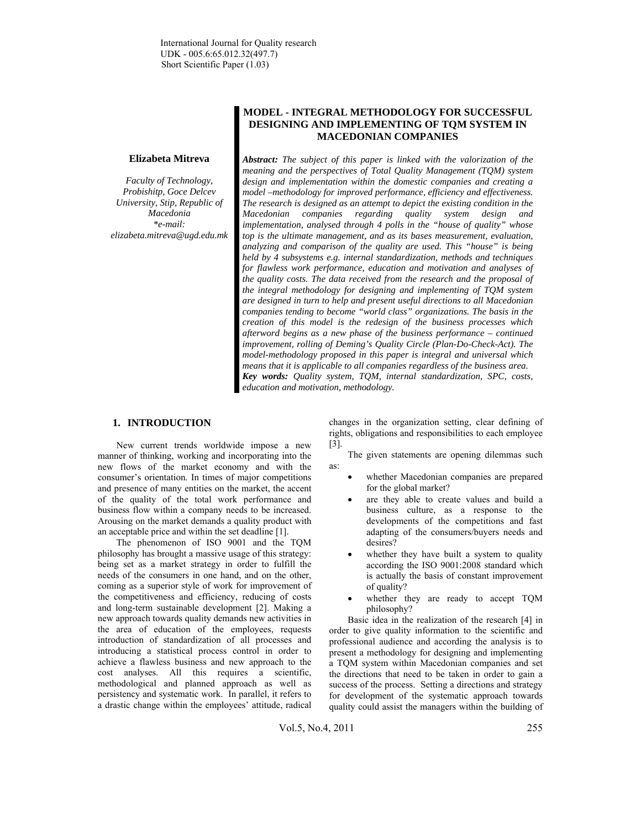### **Elizabeta Mitreva**

*Faculty of Technology, Probishitp, Goce Delcev University, Stip, Republic of Macedonia \*e-mail: elizabeta.mitreva@ugd.edu.mk* 

# **MODEL - INTEGRAL METHODOLOGY FOR SUCCESSFUL DESIGNING AND IMPLEMENTING OF TQM SYSTEM IN MACEDONIAN COMPANIES**

*Abstract: The subject of this paper is linked with the valorization of the meaning and the perspectives of Total Quality Management (TQM) system design and implementation within the domestic companies and creating a model –methodology for improved performance, efficiency and effectiveness. The research is designed as an attempt to depict the existing condition in the Macedonian companies regarding quality system design and implementation, analysed through 4 polls in the "house of quality" whose top is the ultimate management, and as its bases measurement, evaluation, analyzing and comparison of the quality are used. This "house" is being held by 4 subsystems e.g. internal standardization, methods and techniques for flawless work performance, education and motivation and analyses of the quality costs. The data received from the research and the proposal of the integral methodology for designing and implementing of TQM system are designed in turn to help and present useful directions to all Macedonian companies tending to become "world class" organizations. The basis in the creation of this model is the redesign of the business processes which afterword begins as a new phase of the business performance – continued improvement, rolling of Deming's Quality Circle (Plan-Do-Check-Act). The model-methodology proposed in this paper is integral and universal which means that it is applicable to all companies regardless of the business area. Key words: Quality system, TQM, internal standardization, SPC, costs, education and motivation, methodology.* 

# **1. INTRODUCTION**

New current trends worldwide impose a new manner of thinking, working and incorporating into the new flows of the market economy and with the consumer's orientation. In times of major competitions and presence of many entities on the market, the accent of the quality of the total work performance and business flow within a company needs to be increased. Arousing on the market demands a quality product with an acceptable price and within the set deadline [1].

The phenomenon of ISO 9001 and the TQM philosophy has brought a massive usage of this strategy: being set as a market strategy in order to fulfill the needs of the consumers in one hand, and on the other, coming as a superior style of work for improvement of the competitiveness and efficiency, reducing of costs and long-term sustainable development [2]. Making a new approach towards quality demands new activities in the area of education of the employees, requests introduction of standardization of all processes and introducing a statistical process control in order to achieve a flawless business and new approach to the cost analyses. All this requires a scientific, methodological and planned approach as well as persistency and systematic work. In parallel, it refers to a drastic change within the employees' attitude, radical

changes in the organization setting, clear defining of rights, obligations and responsibilities to each employee [3].

The given statements are opening dilemmas such as:

- whether Macedonian companies are prepared for the global market?
- are they able to create values and build a business culture, as a response to the developments of the competitions and fast adapting of the consumers/buyers needs and desires?
- whether they have built a system to quality according the ISO 9001:2008 standard which is actually the basis of constant improvement of quality?
- whether they are ready to accept TQM philosophy?

Basic idea in the realization of the research [4] in order to give quality information to the scientific and professional audience and according the analysis is to present a methodology for designing and implementing a TQM system within Macedonian companies and set the directions that need to be taken in order to gain a success of the process. Setting a directions and strategy for development of the systematic approach towards quality could assist the managers within the building of

Vol.5, No.4, 2011 255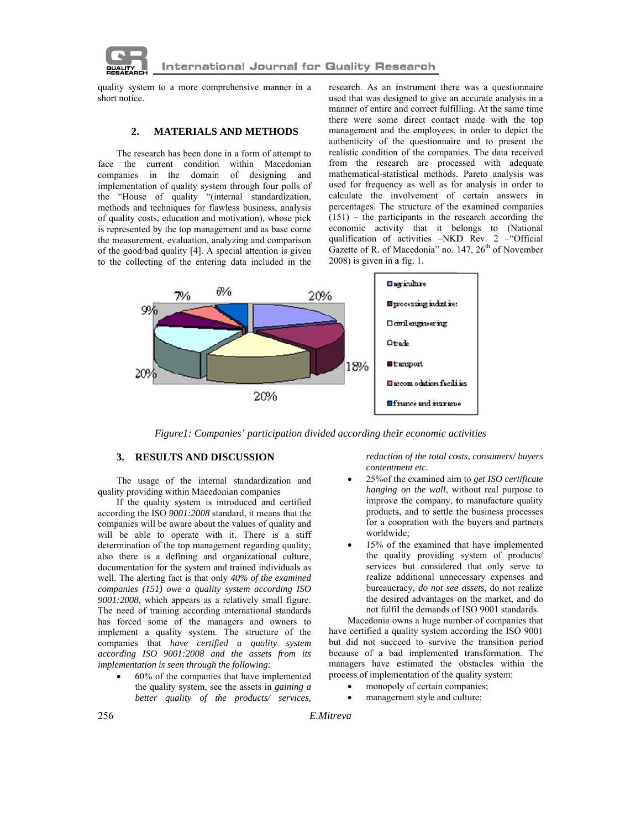

quality system to a more comprehensive manner in a short notice.

#### **MATERIALS AND METHODS**  $2.$

The research has been done in a form of attempt to face the current condition within Macedonian companies in the domain of designing and implementation of quality system through four polls of the "House of quality "(internal standardization, methods and techniques for flawless business, analysis of quality costs, education and motivation), whose pick is represented by the top management and as base come the measurement, evaluation, analyzing and comparison of the good/bad quality [4]. A special attention is given to the collecting of the entering data included in the research. As an instrument there was a questionnaire used that was designed to give an accurate analysis in a manner of entire and correct fulfilling. At the same time there were some direct contact made with the top management and the employees, in order to depict the authenticity of the questionnaire and to present the realistic condition of the companies. The data received from the research are processed with adequate mathematical-statistical methods. Pareto analysis was used for frequency as well as for analysis in order to calculate the involvement of certain answers in percentages. The structure of the examined companies  $(151)$  – the participants in the research according the economic activity that it belongs to (National qualification of activities -NKD Rev. 2 - "Official Gazette of R. of Macedonia" no.  $147$ ,  $26<sup>th</sup>$  of November  $2008$ ) is given in a fig. 1.



Figure1: Companies' participation divided according their economic activities

# 3. RESULTS AND DISCUSSION

The usage of the internal standardization and quality providing within Macedonian companies

If the quality system is introduced and certified according the ISO 9001:2008 standard, it means that the companies will be aware about the values of quality and will be able to operate with it. There is a stiff determination of the top management regarding quality; also there is a defining and organizational culture, documentation for the system and trained individuals as well. The alerting fact is that only 40% of the examined companies  $(151)$  owe a quality system according ISO 9001:2008, which appears as a relatively small figure. The need of training according international standards has forced some of the managers and owners to implement a quality system. The structure of the companies that have certified a quality system according ISO 9001:2008 and the assets from its *implementation is seen through the following:* 

60% of the companies that have implemented the quality system, see the assets in *gaining a* better quality of the products/ services, reduction of the total costs, consumers/buyers contentment etc.

- 25% of the examined aim to get ISO certificate hanging on the wall, without real purpose to improve the company, to manufacture quality products, and to settle the business processes for a coopration with the buyers and partners worldwide:
- 15% of the examined that have implemented the quality providing system of products/ services but considered that only serve to realize additional unnecessary expenses and bureaucracy, do not see assets, do not realize the desired advantages on the market, and do not fulfil the demands of ISO 9001 standards.

Macedonia owns a huge number of companies that have certified a quality system according the ISO 9001 but did not succeed to survive the transition period because of a bad implemented transformation. The managers have estimated the obstacles within the process of implementation of the quality system:

- monopoly of certain companies;
- management style and culture;

E.Mitreva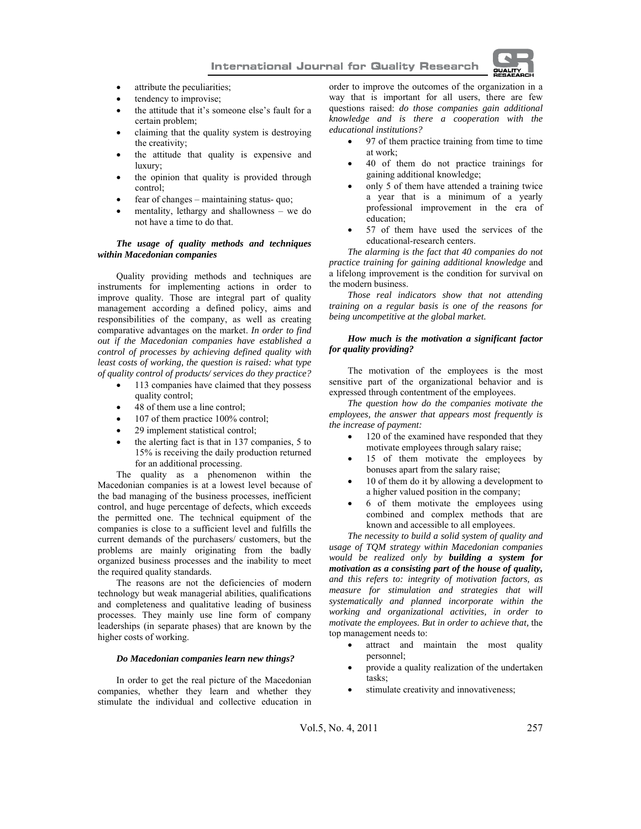**International Journal for Quality Research** 



- attribute the peculiarities;
- tendency to improvise;
- the attitude that it's someone else's fault for a certain problem;
- claiming that the quality system is destroying the creativity;
- the attitude that quality is expensive and luxury;
- the opinion that quality is provided through control;
- fear of changes maintaining status- quo;
- mentality, lethargy and shallowness we do not have a time to do that.

#### *The usage of quality methods and techniques within Macedonian companies*

Quality providing methods and techniques are instruments for implementing actions in order to improve quality. Those are integral part of quality management according a defined policy, aims and responsibilities of the company, as well as creating comparative advantages on the market. *In order to find out if the Macedonian companies have established a control of processes by achieving defined quality with least costs of working, the question is raised: what type of quality control of products/ services do they practice?* 

- 113 companies have claimed that they possess quality control;
- 48 of them use a line control;
- 107 of them practice 100% control;
- 29 implement statistical control;
- the alerting fact is that in 137 companies, 5 to 15% is receiving the daily production returned for an additional processing.

The quality as a phenomenon within the Macedonian companies is at a lowest level because of the bad managing of the business processes, inefficient control, and huge percentage of defects, which exceeds the permitted one. The technical equipment of the companies is close to a sufficient level and fulfills the current demands of the purchasers/ customers, but the problems are mainly originating from the badly organized business processes and the inability to meet the required quality standards.

The reasons are not the deficiencies of modern technology but weak managerial abilities, qualifications and completeness and qualitative leading of business processes. They mainly use line form of company leaderships (in separate phases) that are known by the higher costs of working.

## *Do Macedonian companies learn new things?*

In order to get the real picture of the Macedonian companies, whether they learn and whether they stimulate the individual and collective education in order to improve the outcomes of the organization in a way that is important for all users, there are few questions raised: *do those companies gain additional knowledge and is there a cooperation with the educational institutions?* 

- 97 of them practice training from time to time at work;
- 40 of them do not practice trainings for gaining additional knowledge;
- only 5 of them have attended a training twice a year that is a minimum of a yearly professional improvement in the era of education;
- 57 of them have used the services of the educational-research centers.

*The alarming is the fact that 40 companies do not practice training for gaining additional knowledge* and a lifelong improvement is the condition for survival on the modern business.

*Those real indicators show that not attending training on a regular basis is one of the reasons for being uncompetitive at the global market.*

#### *How much is the motivation a significant factor for quality providing?*

The motivation of the employees is the most sensitive part of the organizational behavior and is expressed through contentment of the employees.

*The question how do the companies motivate the employees, the answer that appears most frequently is the increase of payment:* 

- 120 of the examined have responded that they motivate employees through salary raise;
- 15 of them motivate the employees by bonuses apart from the salary raise;
- 10 of them do it by allowing a development to a higher valued position in the company;
- 6 of them motivate the employees using combined and complex methods that are known and accessible to all employees.

*The necessity to build a solid system of quality and usage of TQM strategy within Macedonian companies would be realized only by building a system for motivation as a consisting part of the house of quality, and this refers to: integrity of motivation factors, as measure for stimulation and strategies that will systematically and planned incorporate within the working and organizational activities, in order to motivate the employees. But in order to achieve that,* the top management needs to:

- attract and maintain the most quality personnel;
- provide a quality realization of the undertaken tasks;
- stimulate creativity and innovativeness;

Vol.5, No. 4, 2011 257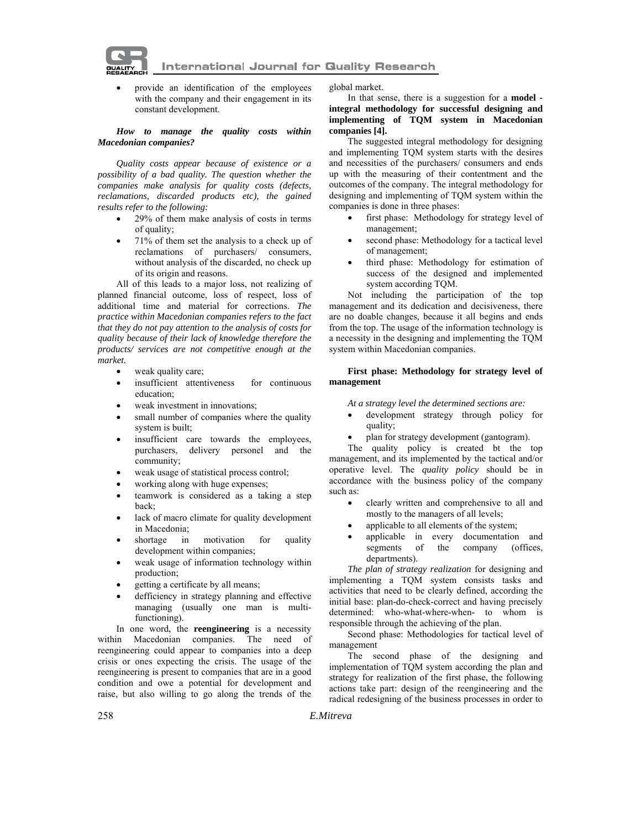**International Journal for Quality Research** 



• provide an identification of the employees with the company and their engagement in its constant development.

#### *How to manage the quality costs within Macedonian companies?*

*Quality costs appear because of existence or a possibility of a bad quality. The question whether the companies make analysis for quality costs (defects, reclamations, discarded products etc), the gained results refer to the following:* 

- 29% of them make analysis of costs in terms of quality;
- 71% of them set the analysis to a check up of reclamations of purchasers/ consumers, without analysis of the discarded, no check up of its origin and reasons.

All of this leads to a major loss, not realizing of planned financial outcome, loss of respect, loss of additional time and material for corrections. *The practice within Macedonian companies refers to the fact that they do not pay attention to the analysis of costs for quality because of their lack of knowledge therefore the products/ services are not competitive enough at the market.* 

- weak quality care;
- insufficient attentiveness for continuous education;
- weak investment in innovations;
- small number of companies where the quality system is built;
- insufficient care towards the employees, purchasers, delivery personel and the community;
- weak usage of statistical process control;
- working along with huge expenses;
- teamwork is considered as a taking a step back;
- lack of macro climate for quality development in Macedonia;
- shortage in motivation for quality development within companies;
- weak usage of information technology within production;
- getting a certificate by all means;
- defficiency in strategy planning and effective managing (usually one man is multifunctioning).

In one word, the **reengineering** is a necessity within Macedonian companies. The need of reengineering could appear to companies into a deep crisis or ones expecting the crisis. The usage of the reengineering is present to companies that are in a good condition and owe a potential for development and raise, but also willing to go along the trends of the

global market.

In that sense, there is a suggestion for a **model integral methodology for successful designing and implementing of TQM system in Macedonian companies [4].** 

The suggested integral methodology for designing and implementing TQM system starts with the desires and necessities of the purchasers/ consumers and ends up with the measuring of their contentment and the outcomes of the company. The integral methodology for designing and implementing of TQM system within the companies is done in three phases:

- first phase: Methodology for strategy level of management;
- second phase: Methodology for a tactical level of management;
- third phase: Methodology for estimation of success of the designed and implemented system according TQM.

Not including the participation of the top management and its dedication and decisiveness, there are no doable changes, because it all begins and ends from the top. The usage of the information technology is a necessity in the designing and implementing the TQM system within Macedonian companies.

#### **First phase: Methodology for strategy level of management**

*At a strategy level the determined sections are:* 

- development strategy through policy for quality;
- plan for strategy development (gantogram).

The quality policy is created bt the top management, and its implemented by the tactical and/or operative level. The *quality policy* should be in accordance with the business policy of the company such as:

- clearly written and comprehensive to all and mostly to the managers of all levels;
- applicable to all elements of the system;
- applicable in every documentation and segments of the company (offices, segments of the company (offices, departments).

*The plan of strategy realization* for designing and implementing a TQM system consists tasks and activities that need to be clearly defined, according the initial base: plan-do-check-correct and having precisely determined: who-what-where-when- to whom is responsible through the achieving of the plan.

Second phase: Methodologies for tactical level of management

The second phase of the designing and implementation of TQM system according the plan and strategy for realization of the first phase, the following actions take part: design of the reengineering and the radical redesigning of the business processes in order to

258 *E.Mitreva*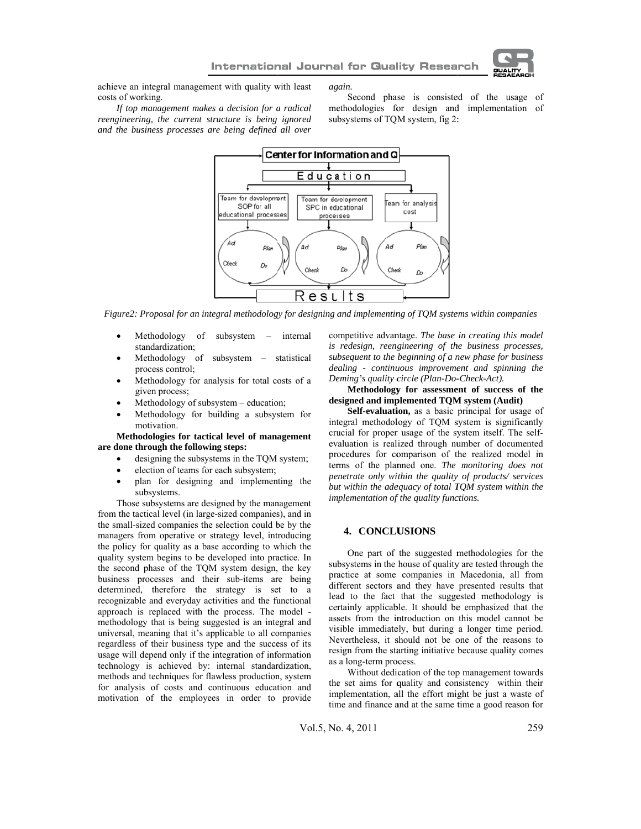

achieve an integral management with quality with least costs of working. If top management makes a decision for a radical

reengineering, the current structure is being ignored

and the business processes are being defined all over

again.

Second phase is consisted of the usage of methodologies for design and implementation of subsystems of TQM system, fig 2:



Figure2: Proposal for an integral methodology for designing and implementing of TQM systems within companies

- Methodology of subsystem internal standardization;
- Methodology of subsystem statistical process control;
- Methodology for analysis for total costs of a given process;
- Methodology of subsystem education;
- Methodology for building a subsystem for motivation.

Methodologies for tactical level of management are done through the following steps:

- designing the subsystems in the TQM system;
- election of teams for each subsystem;
- plan for designing and implementing the subsystems.

Those subsystems are designed by the management from the tactical level (in large-sized companies), and in the small-sized companies the selection could be by the managers from operative or strategy level, introducing the policy for quality as a base according to which the quality system begins to be developed into practice. In the second phase of the TQM system design, the key business processes and their sub-items are being determined, therefore the strategy is set to a recognizable and everyday activities and the functional approach is replaced with the process. The model methodology that is being suggested is an integral and universal, meaning that it's applicable to all companies regardless of their business type and the success of its usage will depend only if the integration of information technology is achieved by: internal standardization, methods and techniques for flawless production, system for analysis of costs and continuous education and motivation of the employees in order to provide

competitive advantage. The base in creating this model is redesign, reengineering of the business processes, subsequent to the beginning of a new phase for business dealing - continuous improvement and spinning the Deming's quality circle (Plan-Do-Check-Act).

### Methodology for assessment of success of the designed and implemented TQM system (Audit)

Self-evaluation, as a basic principal for usage of integral methodology of TQM system is significantly crucial for proper usage of the system itself. The selfevaluation is realized through number of documented procedures for comparison of the realized model in terms of the planned one. The monitoring does not penetrate only within the quality of products/ services but within the adequacy of total TOM system within the *implementation of the quality functions.* 

## **4. CONCLUSIONS**

One part of the suggested methodologies for the subsystems in the house of quality are tested through the practice at some companies in Macedonia, all from different sectors and they have presented results that lead to the fact that the suggested methodology is certainly applicable. It should be emphasized that the assets from the introduction on this model cannot be visible immediately, but during a longer time period. Nevertheless, it should not be one of the reasons to resign from the starting initiative because quality comes as a long-term process.

Without dedication of the top management towards the set aims for quality and consistency within their implementation, all the effort might be just a waste of time and finance and at the same time a good reason for

Vol.5, No. 4, 2011